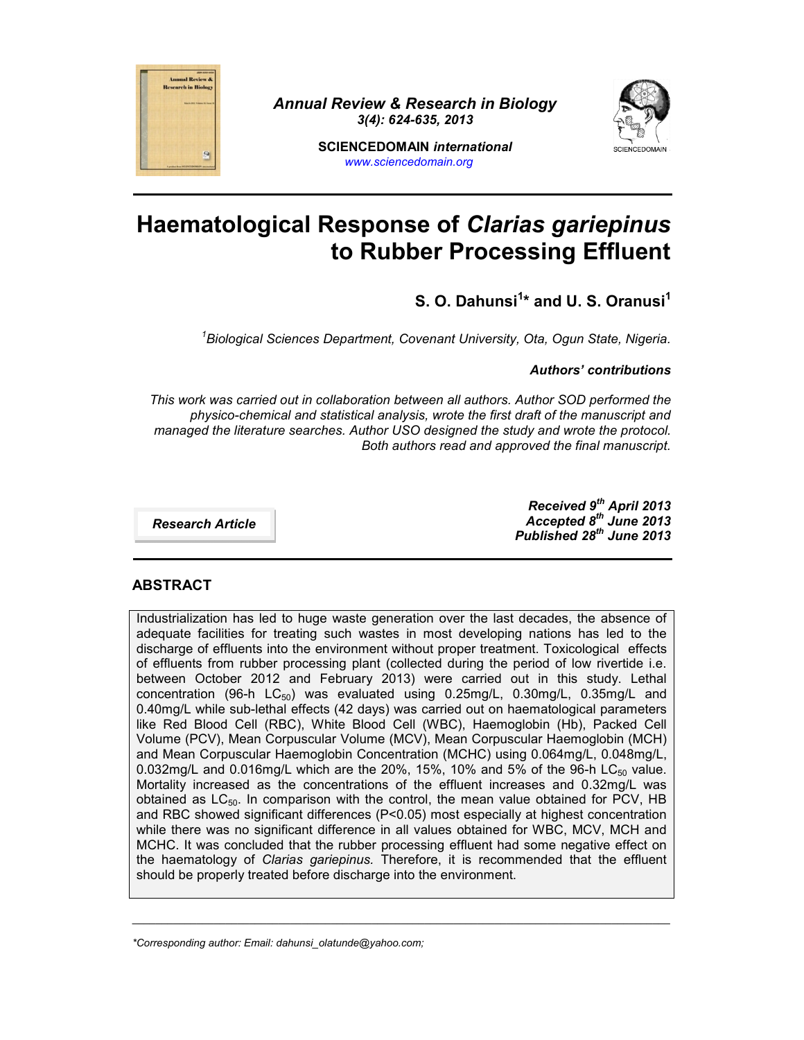

*Annual Review & Research in Biology 3(4): 624-635, 2013*



**SCIENCEDOMAIN** *international www.sciencedomain.org*

# **Haematological Response of** *Clarias gariepinus* **to Rubber Processing Effluent**

# **S. O. Dahunsi<sup>1</sup>\* and U. S. Oranusi<sup>1</sup>**

*<sup>1</sup>Biological Sciences Department, Covenant University, Ota, Ogun State, Nigeria.*

#### *Authors' contributions*

*This work was carried out in collaboration between all authors. Author SOD performed the physico-chemical and statistical analysis, wrote the first draft of the manuscript and managed the literature searches. Author USO designed the study and wrote the protocol. Both authors read and approved the final manuscript.*

*Research Article*

*Received 9 th April 2013 Accepted 8 th June 2013 Published 28 th June 2013*

# **ABSTRACT**

Industrialization has led to huge waste generation over the last decades, the absence of adequate facilities for treating such wastes in most developing nations has led to the discharge of effluents into the environment without proper treatment. Toxicological effects of effluents from rubber processing plant (collected during the period of low rivertide i.e. between October 2012 and February 2013) were carried out in this study. Lethal concentration (96-h  $LC_{50}$ ) was evaluated using 0.25mg/L, 0.30mg/L, 0.35mg/L and 0.40mg/L while sub-lethal effects (42 days) was carried out on haematological parameters like Red Blood Cell (RBC), White Blood Cell (WBC), Haemoglobin (Hb), Packed Cell Volume (PCV), Mean Corpuscular Volume (MCV), Mean Corpuscular Haemoglobin (MCH) and Mean Corpuscular Haemoglobin Concentration (MCHC) using 0.064mg/L, 0.048mg/L, 0.032mg/L and 0.016mg/L which are the 20%, 15%, 10% and 5% of the 96-h LC $_{50}$  value. Mortality increased as the concentrations of the effluent increases and 0.32mg/L was obtained as  $LC_{50}$ . In comparison with the control, the mean value obtained for PCV, HB and RBC showed significant differences (P<0.05) most especially at highest concentration while there was no significant difference in all values obtained for WBC, MCV, MCH and MCHC. It was concluded that the rubber processing effluent had some negative effect on the haematology of *Clarias gariepinus.* Therefore, it is recommended that the effluent should be properly treated before discharge into the environment.

\_\_\_\_\_\_\_\_\_\_\_\_\_\_\_\_\_\_\_\_\_\_\_\_\_\_\_\_\_\_\_\_\_\_\_\_\_\_\_\_\_\_\_\_\_\_\_\_\_\_\_\_\_\_\_\_\_\_\_\_\_\_\_\_\_\_\_\_\_\_\_\_\_\_\_\_\_\_\_\_\_\_\_\_\_\_\_\_\_\_\_\_

*<sup>\*</sup>Corresponding author: Email: dahunsi\_olatunde@yahoo.com;*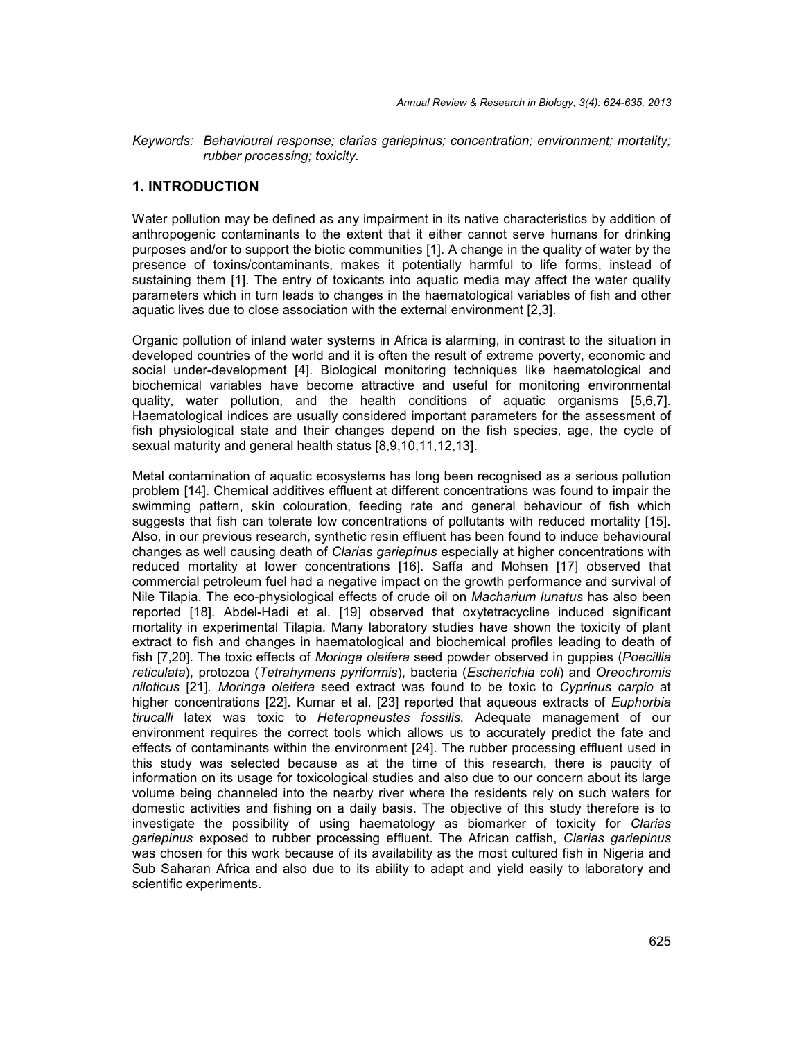*Keywords: Behavioural response; clarias gariepinus; concentration; environment; mortality; rubber processing; toxicity.*

#### **1. INTRODUCTION**

Water pollution may be defined as any impairment in its native characteristics by addition of anthropogenic contaminants to the extent that it either cannot serve humans for drinking purposes and/or to support the biotic communities [1]. A change in the quality of water by the presence of toxins/contaminants, makes it potentially harmful to life forms, instead of sustaining them [1]. The entry of toxicants into aquatic media may affect the water quality parameters which in turn leads to changes in the haematological variables of fish and other aquatic lives due to close association with the external environment [2,3].

Organic pollution of inland water systems in Africa is alarming, in contrast to the situation in developed countries of the world and it is often the result of extreme poverty, economic and social under-development [4]. Biological monitoring techniques like haematological and biochemical variables have become attractive and useful for monitoring environmental quality, water pollution, and the health conditions of aquatic organisms [5,6,7]. Haematological indices are usually considered important parameters for the assessment of fish physiological state and their changes depend on the fish species, age, the cycle of sexual maturity and general health status [8,9,10,11,12,13].

Metal contamination of aquatic ecosystems has long been recognised as a serious pollution problem [14]. Chemical additives effluent at different concentrations was found to impair the swimming pattern, skin colouration, feeding rate and general behaviour of fish which suggests that fish can tolerate low concentrations of pollutants with reduced mortality [15]. Also, in our previous research, synthetic resin effluent has been found to induce behavioural changes as well causing death of *Clarias gariepinus* especially at higher concentrations with reduced mortality at lower concentrations [16]. Saffa and Mohsen [17] observed that commercial petroleum fuel had a negative impact on the growth performance and survival of Nile Tilapia. The eco-physiological effects of crude oil on *Macharium lunatus* has also been reported [18]. Abdel-Hadi et al. [19] observed that oxytetracycline induced significant mortality in experimental Tilapia. Many laboratory studies have shown the toxicity of plant extract to fish and changes in haematological and biochemical profiles leading to death of fish [7,20]. The toxic effects of *Moringa oleifera* seed powder observed in guppies (*Poecillia reticulata*), protozoa (*Tetrahymens pyriformis*), bacteria (*Escherichia coli*) and *Oreochromis niloticus* [21]*. Moringa oleifera* seed extract was found to be toxic to *Cyprinus carpio* at higher concentrations [22]. Kumar et al. [23] reported that aqueous extracts of *Euphorbia tirucalli* latex was toxic to *Heteropneustes fossilis.* Adequate management of our environment requires the correct tools which allows us to accurately predict the fate and effects of contaminants within the environment [24]. The rubber processing effluent used in this study was selected because as at the time of this research, there is paucity of information on its usage for toxicological studies and also due to our concern about its large volume being channeled into the nearby river where the residents rely on such waters for domestic activities and fishing on a daily basis. The objective of this study therefore is to investigate the possibility of using haematology as biomarker of toxicity for *Clarias gariepinus* exposed to rubber processing effluent*.* The African catfish, *Clarias gariepinus* was chosen for this work because of its availability as the most cultured fish in Nigeria and Sub Saharan Africa and also due to its ability to adapt and yield easily to laboratory and scientific experiments.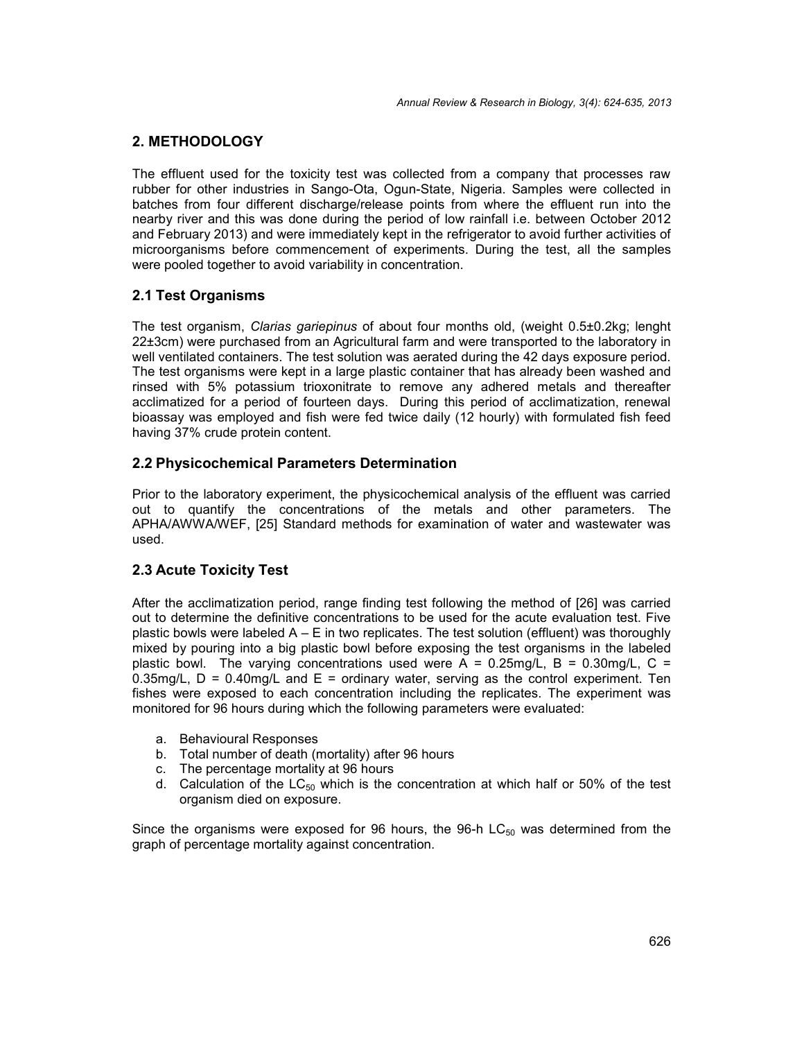## **2. METHODOLOGY**

The effluent used for the toxicity test was collected from a company that processes raw rubber for other industries in Sango-Ota, Ogun-State, Nigeria. Samples were collected in batches from four different discharge/release points from where the effluent run into the nearby river and this was done during the period of low rainfall i.e. between October 2012 and February 2013) and were immediately kept in the refrigerator to avoid further activities of microorganisms before commencement of experiments. During the test, all the samples were pooled together to avoid variability in concentration.

# **2.1 Test Organisms**

The test organism, *Clarias gariepinus* of about four months old, (weight 0.5±0.2kg; lenght 22±3cm) were purchased from an Agricultural farm and were transported to the laboratory in well ventilated containers. The test solution was aerated during the 42 days exposure period. The test organisms were kept in a large plastic container that has already been washed and rinsed with 5% potassium trioxonitrate to remove any adhered metals and thereafter acclimatized for a period of fourteen days. During this period of acclimatization, renewal bioassay was employed and fish were fed twice daily (12 hourly) with formulated fish feed having 37% crude protein content.

#### **2.2 Physicochemical Parameters Determination**

Prior to the laboratory experiment, the physicochemical analysis of the effluent was carried out to quantify the concentrations of the metals and other parameters. The APHA/AWWA/WEF, [25] Standard methods for examination of water and wastewater was used.

#### **2.3 Acute Toxicity Test**

After the acclimatization period, range finding test following the method of [26] was carried out to determine the definitive concentrations to be used for the acute evaluation test. Five plastic bowls were labeled  $A - E$  in two replicates. The test solution (effluent) was thoroughly mixed by pouring into a big plastic bowl before exposing the test organisms in the labeled plastic bowl. The varying concentrations used were  $A = 0.25$ mg/L, B = 0.30mg/L, C = 0.35mg/L,  $D = 0.40$ mg/L and  $E =$  ordinary water, serving as the control experiment. Ten fishes were exposed to each concentration including the replicates. The experiment was monitored for 96 hours during which the following parameters were evaluated:

- a. Behavioural Responses
- b. Total number of death (mortality) after 96 hours
- c. The percentage mortality at 96 hours
- d. Calculation of the  $LC_{50}$  which is the concentration at which half or 50% of the test organism died on exposure.

Since the organisms were exposed for 96 hours, the 96-h  $LC_{50}$  was determined from the graph of percentage mortality against concentration.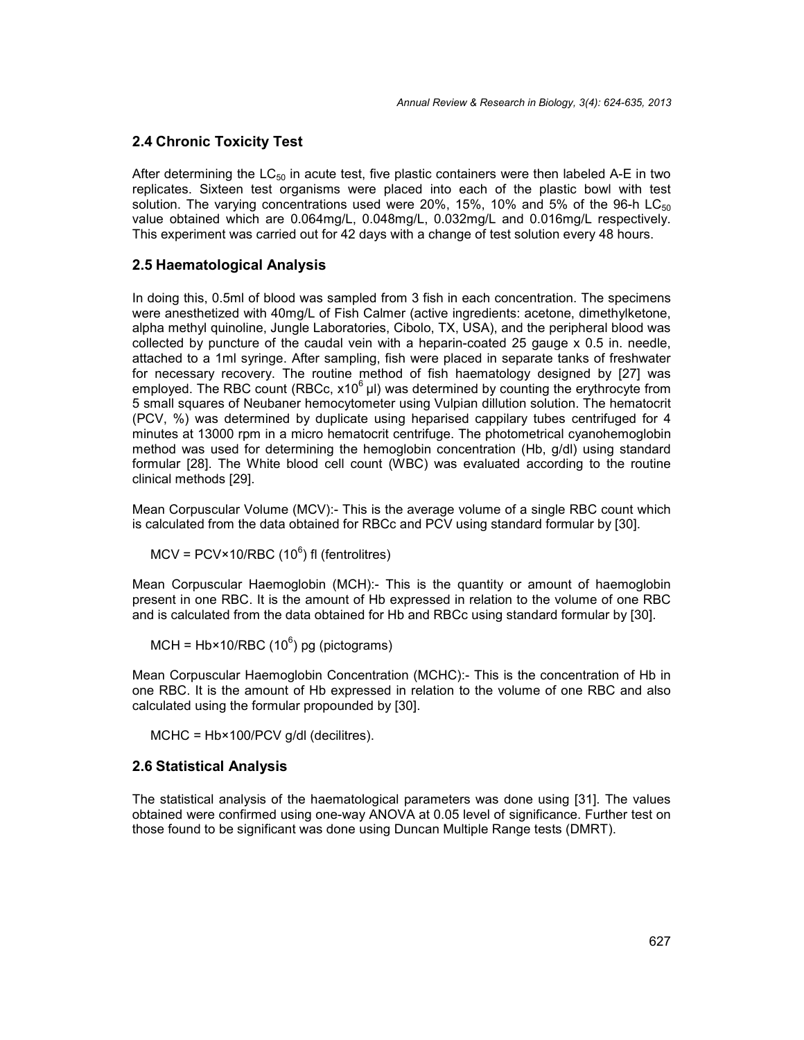### **2.4 Chronic Toxicity Test**

After determining the  $LC_{50}$  in acute test, five plastic containers were then labeled A-E in two replicates. Sixteen test organisms were placed into each of the plastic bowl with test solution. The varying concentrations used were 20%, 15%, 10% and 5% of the 96-h LC $_{50}$ value obtained which are 0.064mg/L, 0.048mg/L, 0.032mg/L and 0.016mg/L respectively. This experiment was carried out for 42 days with a change of test solution every 48 hours.

### **2.5 Haematological Analysis**

In doing this, 0.5ml of blood was sampled from 3 fish in each concentration. The specimens were anesthetized with 40mg/L of Fish Calmer (active ingredients: acetone, dimethylketone, alpha methyl quinoline, Jungle Laboratories, Cibolo, TX, USA), and the peripheral blood was collected by puncture of the caudal vein with a heparin-coated 25 gauge x 0.5 in. needle, attached to a 1ml syringe. After sampling, fish were placed in separate tanks of freshwater for necessary recovery. The routine method of fish haematology designed by [27] was employed. The RBC count (RBCc,  $x10^6$  µl) was determined by counting the erythrocyte from 5 small squares of Neubaner hemocytometer using Vulpian dillution solution. The hematocrit (PCV, %) was determined by duplicate using heparised cappilary tubes centrifuged for 4 minutes at 13000 rpm in a micro hematocrit centrifuge. The photometrical cyanohemoglobin method was used for determining the hemoglobin concentration (Hb, g/dl) using standard formular [28]. The White blood cell count (WBC) was evaluated according to the routine clinical methods [29].

Mean Corpuscular Volume (MCV):- This is the average volume of a single RBC count which is calculated from the data obtained for RBCc and PCV using standard formular by [30].

 $\text{MCV}$  = PCV×10/RBC (10 $^6$ ) fl (fentrolitres)

Mean Corpuscular Haemoglobin (MCH):- This is the quantity or amount of haemoglobin present in one RBC. It is the amount of Hb expressed in relation to the volume of one RBC and is calculated from the data obtained for Hb and RBCc using standard formular by [30].

MCH = Hb×10/RBC (10 $^6$ ) pg (pictograms)

Mean Corpuscular Haemoglobin Concentration (MCHC):- This is the concentration of Hb in one RBC. It is the amount of Hb expressed in relation to the volume of one RBC and also calculated using the formular propounded by [30].

MCHC = Hb×100/PCV g/dl (decilitres).

#### **2.6 Statistical Analysis**

The statistical analysis of the haematological parameters was done using [31]. The values obtained were confirmed using one-way ANOVA at 0.05 level of significance. Further test on those found to be significant was done using Duncan Multiple Range tests (DMRT).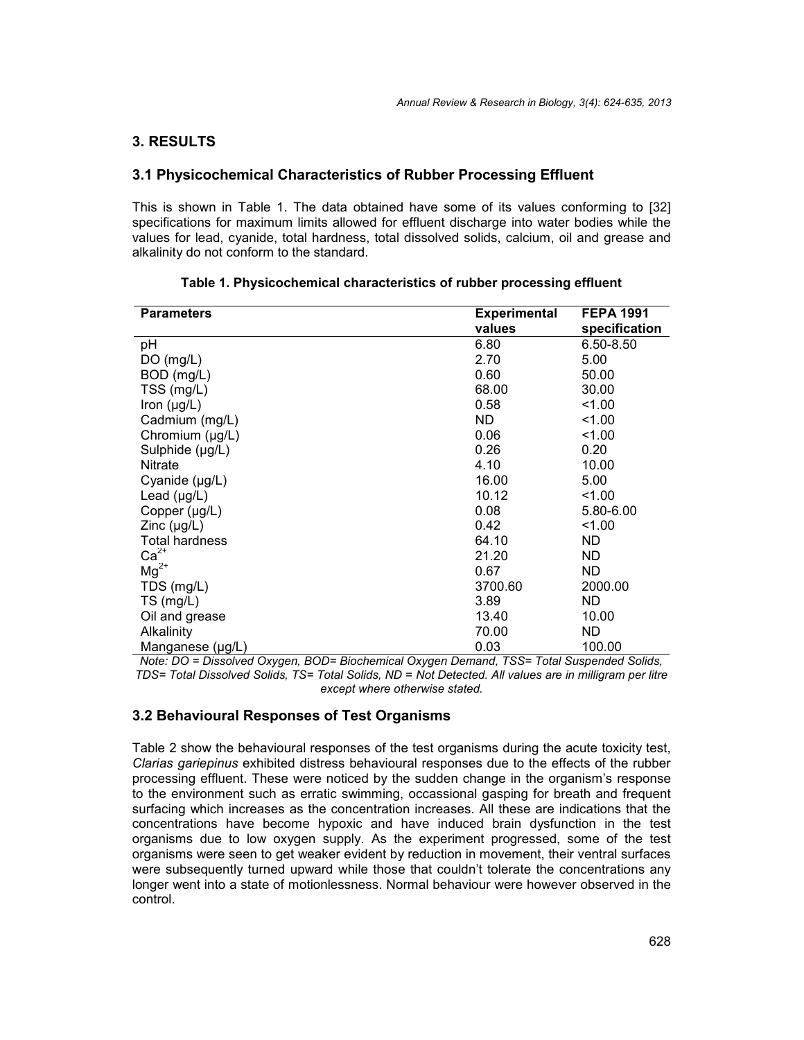### **3. RESULTS**

#### **3.1 Physicochemical Characteristics of Rubber Processing Effluent**

This is shown in Table 1. The data obtained have some of its values conforming to [32] specifications for maximum limits allowed for effluent discharge into water bodies while the values for lead, cyanide, total hardness, total dissolved solids, calcium, oil and grease and alkalinity do not conform to the standard.

| <b>Parameters</b>     | <b>Experimental</b> | <b>FEPA 1991</b> |
|-----------------------|---------------------|------------------|
|                       | values              | specification    |
| рH                    | 6.80                | 6.50-8.50        |
| DO (mg/L)             | 2.70                | 5.00             |
| BOD (mg/L)            | 0.60                | 50.00            |
| TSS (mg/L)            | 68.00               | 30.00            |
| Iron $(\mu g/L)$      | 0.58                | 1.00             |
| Cadmium (mg/L)        | ND.                 | 1.00             |
| Chromium (µg/L)       | 0.06                | 1.00             |
| Sulphide (µg/L)       | 0.26                | 0.20             |
| Nitrate               | 4.10                | 10.00            |
| Cyanide (µg/L)        | 16.00               | 5.00             |
| Lead $(\mu g/L)$      | 10.12               | 1.00             |
| Copper $(\mu g/L)$    | 0.08                | 5.80-6.00        |
| $Zinc$ ( $\mu$ g/L)   | 0.42                | 1.00             |
| <b>Total hardness</b> | 64.10               | ND.              |
| $Ca2+$                | 21.20               | <b>ND</b>        |
| $Mg^{2+}$             | 0.67                | ND.              |
| TDS (mg/L)            | 3700.60             | 2000.00          |
| $TS$ (mg/L)           | 3.89                | ND.              |
| Oil and grease        | 13.40               | 10.00            |
| Alkalinity            | 70.00               | ND.              |
| Manganese (µg/L)      | 0.03                | 100.00           |

**Table 1. Physicochemical characteristics of rubber processing effluent**

*Note: DO = Dissolved Oxygen, BOD= Biochemical Oxygen Demand, TSS= Total Suspended Solids, TDS= Total Dissolved Solids, TS= Total Solids, ND = Not Detected. All values are in milligram per litre except where otherwise stated.*

#### **3.2 Behavioural Responses of Test Organisms**

Table 2 show the behavioural responses of the test organisms during the acute toxicity test, *Clarias gariepinus* exhibited distress behavioural responses due to the effects of the rubber processing effluent. These were noticed by the sudden change in the organism's response to the environment such as erratic swimming, occassional gasping for breath and frequent surfacing which increases as the concentration increases. All these are indications that the concentrations have become hypoxic and have induced brain dysfunction in the test organisms due to low oxygen supply. As the experiment progressed, some of the test organisms were seen to get weaker evident by reduction in movement, their ventral surfaces were subsequently turned upward while those that couldn't tolerate the concentrations any longer went into a state of motionlessness. Normal behaviour were however observed in the control.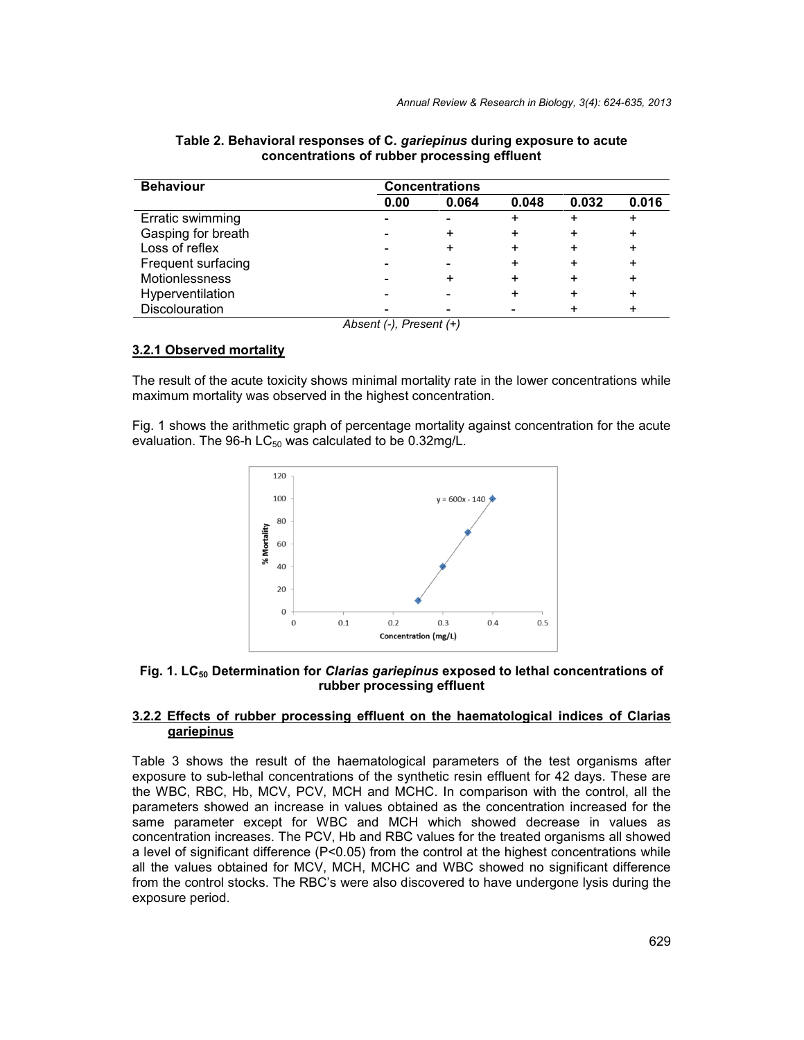| <b>Behaviour</b>   | <b>Concentrations</b>   |       |       |       |       |  |
|--------------------|-------------------------|-------|-------|-------|-------|--|
|                    | 0.00                    | 0.064 | 0.048 | 0.032 | 0.016 |  |
| Erratic swimming   |                         |       |       |       |       |  |
| Gasping for breath |                         | ÷     |       | ٠     |       |  |
| Loss of reflex     |                         |       |       | +     | +     |  |
| Frequent surfacing |                         |       |       | ٠     | +     |  |
| Motionlessness     |                         | ÷     |       | +     |       |  |
| Hyperventilation   |                         |       |       | +     | ٠     |  |
| Discolouration     |                         |       |       |       |       |  |
|                    | Absent (-), Present (+) |       |       |       |       |  |

**Table 2. Behavioral responses of C***. gariepinus* **during exposure to acute concentrations of rubber processing effluent**

#### **3.2.1 Observed mortality**

The result of the acute toxicity shows minimal mortality rate in the lower concentrations while maximum mortality was observed in the highest concentration.

Fig. 1 shows the arithmetic graph of percentage mortality against concentration for the acute evaluation. The 96-h  $LC_{50}$  was calculated to be 0.32mg/L.



**Fig. 1. LC<sup>50</sup> Determination for** *Clarias gariepinus* **exposed to lethal concentrations of rubber processing effluent**

#### **3.2.2 Effects of rubber processing effluent on the haematological indices of Clarias gariepinus**

Table 3 shows the result of the haematological parameters of the test organisms after exposure to sub-lethal concentrations of the synthetic resin effluent for 42 days. These are the WBC, RBC, Hb, MCV, PCV, MCH and MCHC. In comparison with the control, all the parameters showed an increase in values obtained as the concentration increased for the same parameter except for WBC and MCH which showed decrease in values as concentration increases. The PCV, Hb and RBC values for the treated organisms all showed a level of significant difference ( $P < 0.05$ ) from the control at the highest concentrations while all the values obtained for MCV, MCH, MCHC and WBC showed no significant difference from the control stocks. The RBC's were also discovered to have undergone lysis during the exposure period.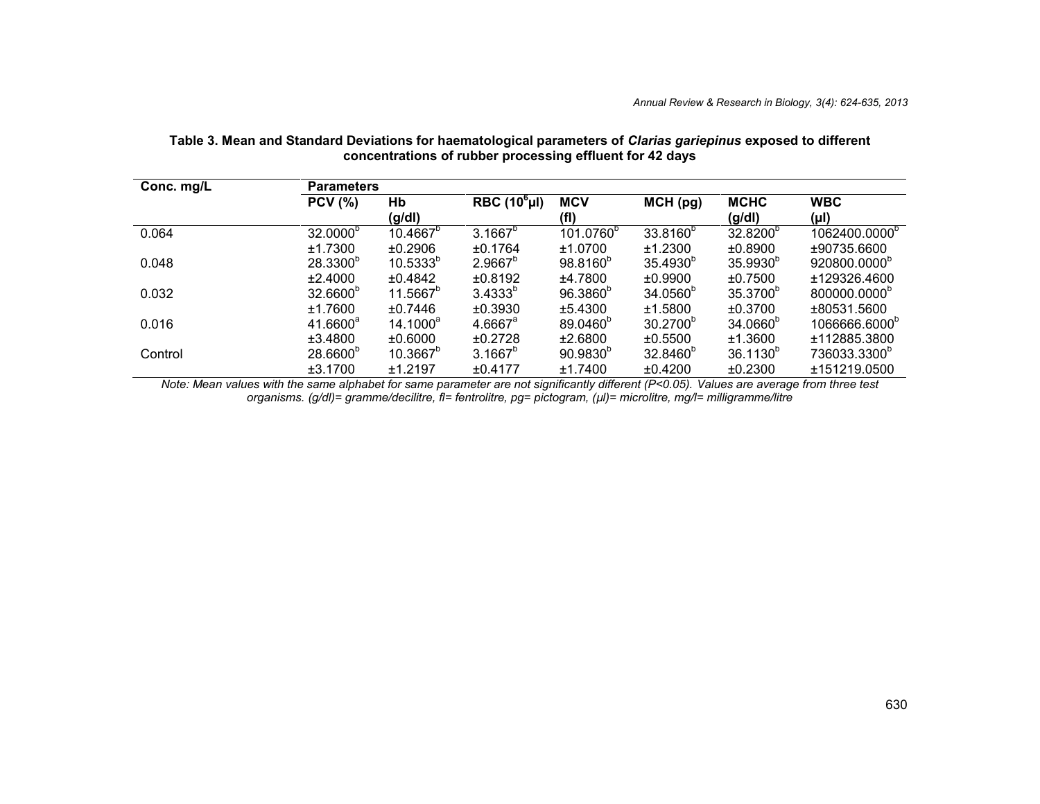| Conc. mg/L | <b>Parameters</b>    |                   |                       |                       |                      |                       |                           |  |
|------------|----------------------|-------------------|-----------------------|-----------------------|----------------------|-----------------------|---------------------------|--|
|            | <b>PCV (%)</b>       | Hb<br>(g/dl)      | RBC $(10^6 \mu I)$    | <b>MCV</b><br>(fI)    | MCH(pg)              | <b>MCHC</b><br>(g/dl) | <b>WBC</b><br>(µl)        |  |
| 0.064      | 32.0000 <sup>b</sup> | $10.4667^{\circ}$ | $3.1667^{b}$          | 101.0760 <sup>b</sup> | 33.8160 <sup>b</sup> | 32.8200 <sup>b</sup>  | 1062400.0000 <sup>°</sup> |  |
|            | ±1.7300              | ±0.2906           | ±0.1764               | ±1.0700               | ±1.2300              | ±0.8900               | ±90735.6600               |  |
| 0.048      | 28.3300 <sup>b</sup> | $10.5333^{b}$     | $2.9667^{b}$          | 98.8160 <sup>b</sup>  | 35.4930 <sup>b</sup> | 35.9930 <sup>b</sup>  | 920800.0000 <sup>b</sup>  |  |
|            | ±2.4000              | ±0.4842           | ±0.8192               | ±4.7800               | ±0.9900              | ±0.7500               | ±129326.4600              |  |
| 0.032      | 32.6600 <sup>b</sup> | $11.5667^b$       | $3.4333^{b}$          | $96.3860^{b}$         | 34.0560 <sup>b</sup> | 35.3700 <sup>b</sup>  | 800000.0000 <sup>b</sup>  |  |
|            | ±1.7600              | ±0.7446           | ±0.3930               | ±5.4300               | ±1.5800              | ±0.3700               | ±80531.5600               |  |
| 0.016      | 41.6600 <sup>a</sup> | $14.1000^a$       | $4.6667$ <sup>a</sup> | 89.0460 <sup>b</sup>  | 30.2700 <sup>b</sup> | 34.0660 <sup>b</sup>  | 1066666.6000 <sup>b</sup> |  |
|            | ±3.4800              | ±0.6000           | $+0.2728$             | ±2.6800               | ±0.5500              | ±1.3600               | ±112885.3800              |  |
| Control    | 28.6600 <sup>b</sup> | $10.3667^b$       | $3.1667^{b}$          | $90.9830^{b}$         | 32.8460 <sup>b</sup> | $36.1130^{b}$         | 736033.3300 <sup>b</sup>  |  |
|            | ±3.1700              | ±1.2197           | ±0.4177               | ±1.7400               | ±0.4200              | ±0.2300               | ±151219.0500              |  |

#### **Table 3. Mean and Standard Deviations for haematological parameters of** *Clarias gariepinus* **exposed to different concentrations of rubber processing effluent for 42 days**

*Note: Mean values with the same alphabet for same parameter are not significantly different (P<0.05). Values are average from three test organisms. (g/dl)= gramme/decilitre, fl= fentrolitre, pg= pictogram, (µl)= microlitre, mg/l= milligramme/litre*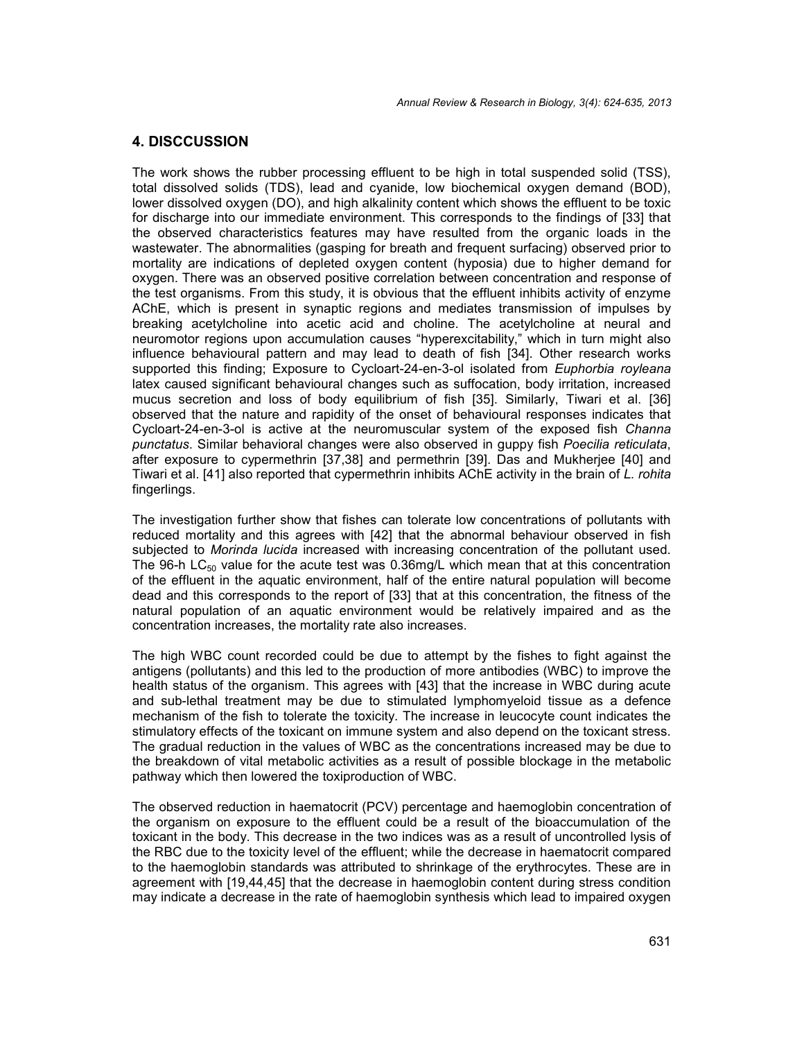#### **4. DISCCUSSION**

The work shows the rubber processing effluent to be high in total suspended solid (TSS), total dissolved solids (TDS), lead and cyanide, low biochemical oxygen demand (BOD), lower dissolved oxygen (DO), and high alkalinity content which shows the effluent to be toxic for discharge into our immediate environment. This corresponds to the findings of [33] that the observed characteristics features may have resulted from the organic loads in the wastewater. The abnormalities (gasping for breath and frequent surfacing) observed prior to mortality are indications of depleted oxygen content (hyposia) due to higher demand for oxygen. There was an observed positive correlation between concentration and response of the test organisms. From this study, it is obvious that the effluent inhibits activity of enzyme AChE, which is present in synaptic regions and mediates transmission of impulses by breaking acetylcholine into acetic acid and choline. The acetylcholine at neural and neuromotor regions upon accumulation causes "hyperexcitability," which in turn might also influence behavioural pattern and may lead to death of fish [34]. Other research works supported this finding; Exposure to Cycloart-24-en-3-ol isolated from *Euphorbia royleana* latex caused significant behavioural changes such as suffocation, body irritation, increased mucus secretion and loss of body equilibrium of fish [35]. Similarly, Tiwari et al. [36] observed that the nature and rapidity of the onset of behavioural responses indicates that Cycloart-24-en-3-ol is active at the neuromuscular system of the exposed fish *Channa punctatus*. Similar behavioral changes were also observed in guppy fish *Poecilia reticulata*, after exposure to cypermethrin [37,38] and permethrin [39]. Das and Mukherjee [40] and Tiwari et al. [41] also reported that cypermethrin inhibits AChE activity in the brain of *L. rohita* fingerlings.

The investigation further show that fishes can tolerate low concentrations of pollutants with reduced mortality and this agrees with [42] that the abnormal behaviour observed in fish subjected to *Morinda lucida* increased with increasing concentration of the pollutant used. The 96-h LC $_{50}$  value for the acute test was 0.36mg/L which mean that at this concentration of the effluent in the aquatic environment, half of the entire natural population will become dead and this corresponds to the report of [33] that at this concentration, the fitness of the natural population of an aquatic environment would be relatively impaired and as the concentration increases, the mortality rate also increases.

The high WBC count recorded could be due to attempt by the fishes to fight against the antigens (pollutants) and this led to the production of more antibodies (WBC) to improve the health status of the organism. This agrees with [43] that the increase in WBC during acute and sub-lethal treatment may be due to stimulated lymphomyeloid tissue as a defence mechanism of the fish to tolerate the toxicity. The increase in leucocyte count indicates the stimulatory effects of the toxicant on immune system and also depend on the toxicant stress. The gradual reduction in the values of WBC as the concentrations increased may be due to the breakdown of vital metabolic activities as a result of possible blockage in the metabolic pathway which then lowered the toxiproduction of WBC.

The observed reduction in haematocrit (PCV) percentage and haemoglobin concentration of the organism on exposure to the effluent could be a result of the bioaccumulation of the toxicant in the body. This decrease in the two indices was as a result of uncontrolled lysis of the RBC due to the toxicity level of the effluent; while the decrease in haematocrit compared to the haemoglobin standards was attributed to shrinkage of the erythrocytes. These are in agreement with [19,44,45] that the decrease in haemoglobin content during stress condition may indicate a decrease in the rate of haemoglobin synthesis which lead to impaired oxygen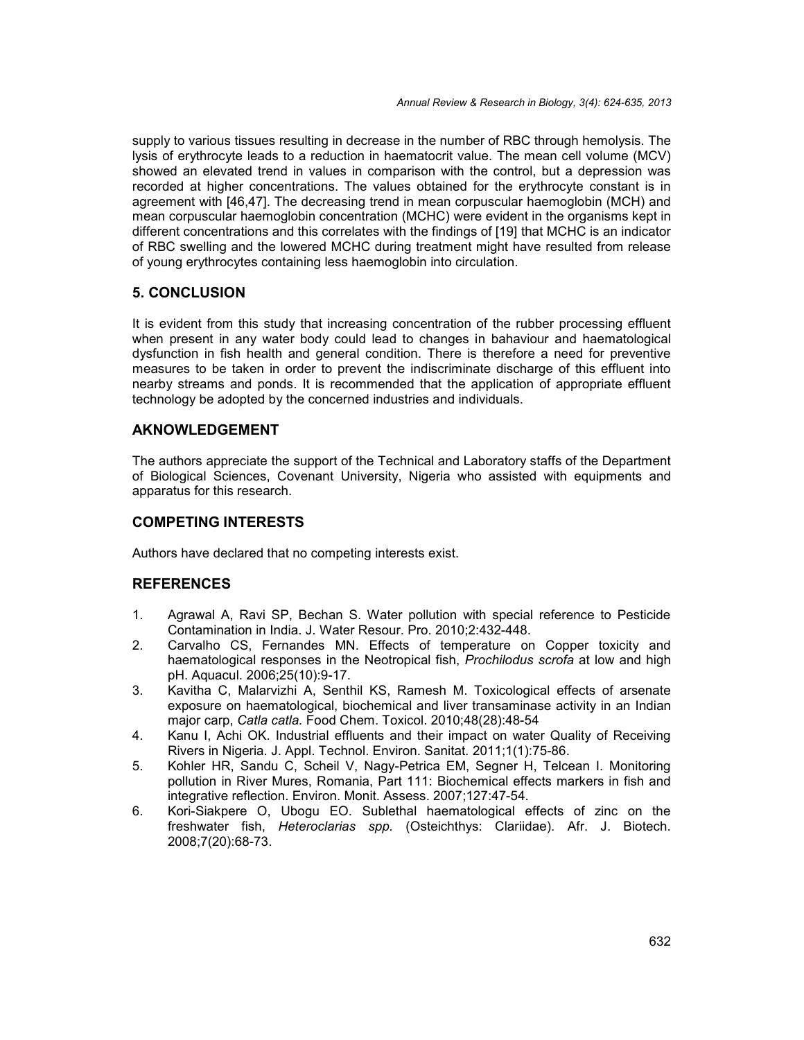supply to various tissues resulting in decrease in the number of RBC through hemolysis. The lysis of erythrocyte leads to a reduction in haematocrit value. The mean cell volume (MCV) showed an elevated trend in values in comparison with the control, but a depression was recorded at higher concentrations. The values obtained for the erythrocyte constant is in agreement with [46,47]. The decreasing trend in mean corpuscular haemoglobin (MCH) and mean corpuscular haemoglobin concentration (MCHC) were evident in the organisms kept in different concentrations and this correlates with the findings of [19] that MCHC is an indicator of RBC swelling and the lowered MCHC during treatment might have resulted from release of young erythrocytes containing less haemoglobin into circulation.

#### **5. CONCLUSION**

It is evident from this study that increasing concentration of the rubber processing effluent when present in any water body could lead to changes in bahaviour and haematological dysfunction in fish health and general condition. There is therefore a need for preventive measures to be taken in order to prevent the indiscriminate discharge of this effluent into nearby streams and ponds. It is recommended that the application of appropriate effluent technology be adopted by the concerned industries and individuals.

#### **AKNOWLEDGEMENT**

The authors appreciate the support of the Technical and Laboratory staffs of the Department of Biological Sciences, Covenant University, Nigeria who assisted with equipments and apparatus for this research.

#### **COMPETING INTERESTS**

Authors have declared that no competing interests exist.

#### **REFERENCES**

- 1. Agrawal A, Ravi SP, Bechan S. Water pollution with special reference to Pesticide Contamination in India. J. Water Resour. Pro. 2010;2:432-448.
- 2. Carvalho CS, Fernandes MN. Effects of temperature on Copper toxicity and haematological responses in the Neotropical fish, *Prochilodus scrofa* at low and high pH. Aquacul. 2006;25(10):9-17.
- 3. Kavitha C, Malarvizhi A, Senthil KS, Ramesh M. Toxicological effects of arsenate exposure on haematological, biochemical and liver transaminase activity in an Indian major carp, *Catla catla.* Food Chem. Toxicol. 2010;48(28):48-54
- 4. Kanu I, Achi OK. Industrial effluents and their impact on water Quality of Receiving Rivers in Nigeria. J. Appl. Technol. Environ. Sanitat. 2011;1(1):75-86.
- 5. Kohler HR, Sandu C, Scheil V, Nagy-Petrica EM, Segner H, Telcean I. Monitoring pollution in River Mures, Romania, Part 111: Biochemical effects markers in fish and integrative reflection. Environ. Monit. Assess. 2007;127:47-54.
- 6. Kori-Siakpere O, Ubogu EO. Sublethal haematological effects of zinc on the freshwater fish, *Heteroclarias spp.* (Osteichthys: Clariidae). Afr. J. Biotech. 2008;7(20):68-73.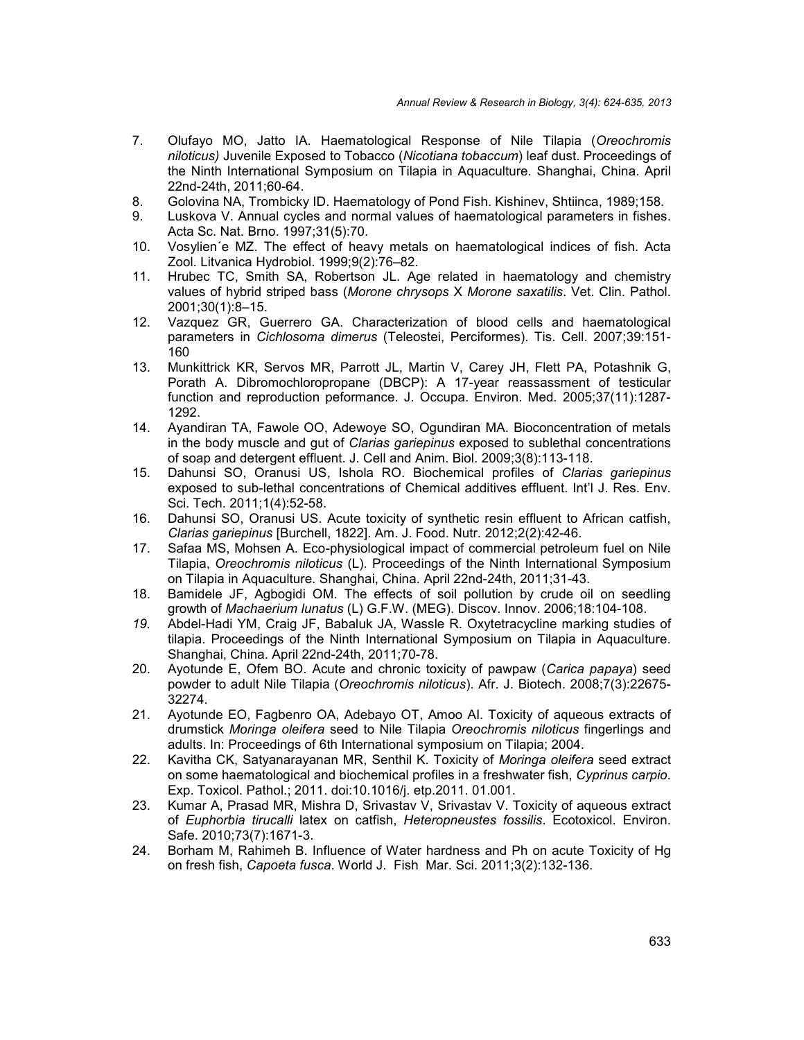- 7. Olufayo MO, Jatto IA. Haematological Response of Nile Tilapia (*Oreochromis niloticus)* Juvenile Exposed to Tobacco (*Nicotiana tobaccum*) leaf dust. Proceedings of the Ninth International Symposium on Tilapia in Aquaculture. Shanghai, China. April 22nd-24th, 2011;60-64.
- 8. Golovina NA, Trombicky ID. Haematology of Pond Fish. Kishinev, Shtiinca, 1989;158.<br>8. Luskova V. Annual cycles and normal values of haematological parameters in fishes
- Luskova V. Annual cycles and normal values of haematological parameters in fishes. Acta Sc. Nat. Brno. 1997;31(5):70.
- 10. Vosylien´e MZ. The effect of heavy metals on haematological indices of fish. Acta Zool. Litvanica Hydrobiol. 1999;9(2):76–82.
- 11. Hrubec TC, Smith SA, Robertson JL. Age related in haematology and chemistry values of hybrid striped bass (*Morone chrysops* X *Morone saxatilis*. Vet. Clin. Pathol. 2001;30(1):8–15.
- 12. Vazquez GR, Guerrero GA. Characterization of blood cells and haematological parameters in *Cichlosoma dimerus* (Teleostei, Perciformes). Tis. Cell. 2007;39:151- 160
- 13. Munkittrick KR, Servos MR, Parrott JL, Martin V, Carey JH, Flett PA, Potashnik G, Porath A. Dibromochloropropane (DBCP): A 17-year reassassment of testicular function and reproduction peformance. J. Occupa. Environ. Med. 2005;37(11):1287- 1292.
- 14. Ayandiran TA, Fawole OO, Adewoye SO, Ogundiran MA. Bioconcentration of metals in the body muscle and gut of *Clarias gariepinus* exposed to sublethal concentrations of soap and detergent effluent. J. Cell and Anim. Biol. 2009;3(8):113-118.
- 15. Dahunsi SO, Oranusi US, Ishola RO. Biochemical profiles of *Clarias gariepinus* exposed to sub-lethal concentrations of Chemical additives effluent. Int'l J. Res. Env. Sci. Tech. 2011;1(4):52-58.
- 16. Dahunsi SO, Oranusi US. Acute toxicity of synthetic resin effluent to African catfish, *Clarias gariepinus* [Burchell, 1822]. Am. J. Food. Nutr. 2012;2(2):42-46.
- 17. Safaa MS, Mohsen A. Eco-physiological impact of commercial petroleum fuel on Nile Tilapia, *Oreochromis niloticus* (L). Proceedings of the Ninth International Symposium on Tilapia in Aquaculture. Shanghai, China. April 22nd-24th, 2011;31-43.
- 18. Bamidele JF, Agbogidi OM. The effects of soil pollution by crude oil on seedling growth of *Machaerium lunatus* (L) G.F.W. (MEG). Discov. Innov. 2006;18:104-108.
- *19.* Abdel-Hadi YM, Craig JF, Babaluk JA, Wassle R. Oxytetracycline marking studies of tilapia. Proceedings of the Ninth International Symposium on Tilapia in Aquaculture. Shanghai, China. April 22nd-24th, 2011;70-78.
- 20. Ayotunde E, Ofem BO. Acute and chronic toxicity of pawpaw (*Carica papaya*) seed powder to adult Nile Tilapia (*Oreochromis niloticus*). Afr. J. Biotech. 2008;7(3):22675- 32274.
- 21. Ayotunde EO, Fagbenro OA, Adebayo OT, Amoo AI. Toxicity of aqueous extracts of drumstick *Moringa oleifera* seed to Nile Tilapia *Oreochromis niloticus* fingerlings and adults. In: Proceedings of 6th International symposium on Tilapia; 2004.
- 22. Kavitha CK, Satyanarayanan MR, Senthil K. Toxicity of *Moringa oleifera* seed extract on some haematological and biochemical profiles in a freshwater fish, *Cyprinus carpio*. Exp. Toxicol. Pathol.; 2011. doi:10.1016/j. etp.2011. 01.001.
- 23. Kumar A, Prasad MR, Mishra D, Srivastav V, Srivastav V. Toxicity of aqueous extract of *Euphorbia tirucalli* latex on catfish, *Heteropneustes fossilis*. Ecotoxicol. Environ. Safe. 2010;73(7):1671-3.
- 24. Borham M, Rahimeh B. Influence of Water hardness and Ph on acute Toxicity of Hg on fresh fish, *Capoeta fusca*. World J. Fish Mar. Sci. 2011;3(2):132-136.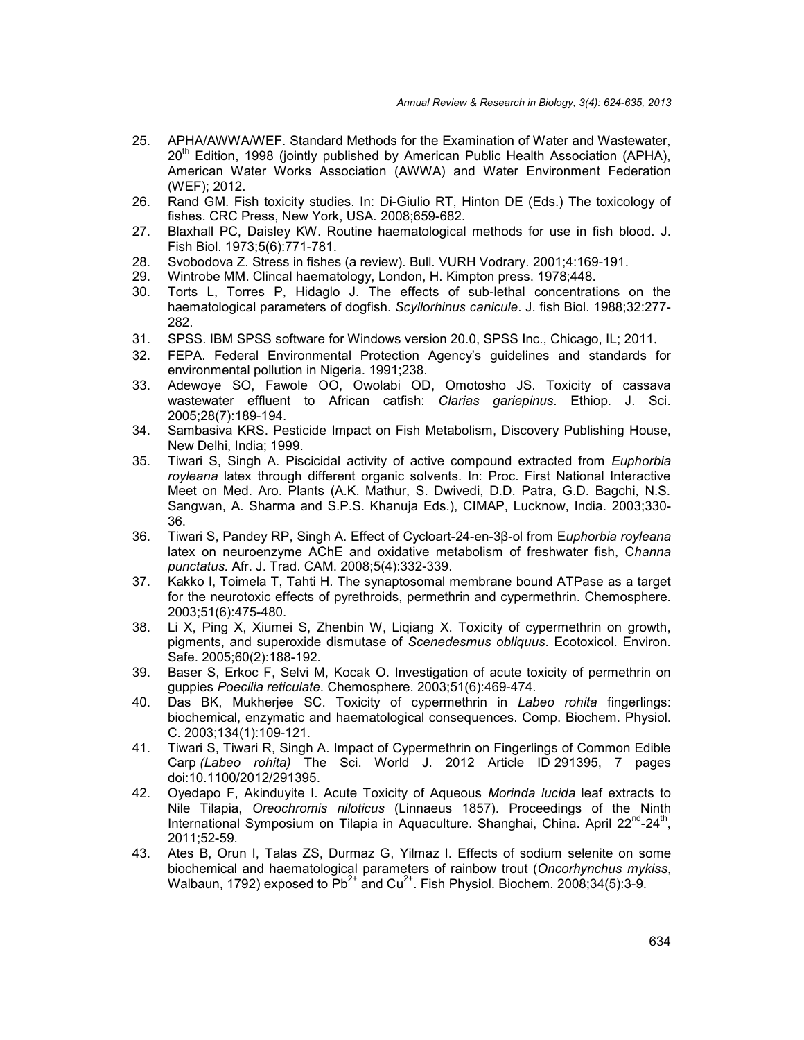- 25. APHA/AWWA/WEF. Standard Methods for the Examination of Water and Wastewater,  $20<sup>th</sup>$  Edition, 1998 (jointly published by American Public Health Association (APHA), American Water Works Association (AWWA) and Water Environment Federation (WEF); 2012.
- 26. Rand GM. Fish toxicity studies. In: Di-Giulio RT, Hinton DE (Eds.) The toxicology of fishes. CRC Press, New York, USA. 2008;659-682.
- 27. Blaxhall PC, Daisley KW. Routine haematological methods for use in fish blood. J. Fish Biol. 1973;5(6):771-781.
- 28. Svobodova Z. Stress in fishes (a review). Bull. VURH Vodrary. 2001;4:169-191.
- 29. Wintrobe MM. Clincal haematology, London, H. Kimpton press. 1978;448.
- 30. Torts L, Torres P, Hidaglo J. The effects of sub-lethal concentrations on the haematological parameters of dogfish. *Scyllorhinus canicule*. J. fish Biol. 1988;32:277- 282.
- 31. SPSS. IBM SPSS software for Windows version 20.0, SPSS Inc., Chicago, IL; 2011.
- 32. FEPA. Federal Environmental Protection Agency's guidelines and standards for environmental pollution in Nigeria. 1991;238.
- 33. Adewoye SO, Fawole OO, Owolabi OD, Omotosho JS. Toxicity of cassava wastewater effluent to African catfish: *Clarias gariepinus*. Ethiop. J. Sci. 2005;28(7):189-194.
- 34. Sambasiva KRS. Pesticide Impact on Fish Metabolism, Discovery Publishing House, New Delhi, India; 1999.
- 35. Tiwari S, Singh A. Piscicidal activity of active compound extracted from *Euphorbia royleana* latex through different organic solvents. In: Proc. First National Interactive Meet on Med. Aro. Plants (A.K. Mathur, S. Dwivedi, D.D. Patra, G.D. Bagchi, N.S. Sangwan, A. Sharma and S.P.S. Khanuja Eds.), CIMAP, Lucknow, India. 2003;330- 36.
- 36. Tiwari S, Pandey RP, Singh A. Effect of Cycloart-24-en-3β-ol from E*uphorbia royleana* latex on neuroenzyme AChE and oxidative metabolism of freshwater fish, C*hanna punctatus.* Afr. J. Trad. CAM. 2008;5(4):332-339.
- 37. Kakko I, Toimela T, Tahti H. The synaptosomal membrane bound ATPase as a target for the neurotoxic effects of pyrethroids, permethrin and cypermethrin. Chemosphere. 2003;51(6):475-480.
- 38. Li X, Ping X, Xiumei S, Zhenbin W, Liqiang X. Toxicity of cypermethrin on growth, pigments, and superoxide dismutase of *Scenedesmus obliquus*. Ecotoxicol. Environ. Safe. 2005;60(2):188-192.
- 39. Baser S, Erkoc F, Selvi M, Kocak O. Investigation of acute toxicity of permethrin on guppies *Poecilia reticulate*. Chemosphere. 2003;51(6):469-474.
- 40. Das BK, Mukherjee SC. Toxicity of cypermethrin in *Labeo rohita* fingerlings: biochemical, enzymatic and haematological consequences. Comp. Biochem. Physiol. C. 2003;134(1):109-121.
- 41. Tiwari S, Tiwari R, Singh A. Impact of Cypermethrin on Fingerlings of Common Edible Carp *(Labeo rohita)* The Sci. World J. 2012 Article ID 291395, 7 pages doi:10.1100/2012/291395.
- 42. Oyedapo F, Akinduyite I. Acute Toxicity of Aqueous *Morinda lucida* leaf extracts to Nile Tilapia, *Oreochromis niloticus* (Linnaeus 1857). Proceedings of the Ninth International Symposium on Tilapia in Aquaculture. Shanghai, China. April 22<sup>nd</sup>-24<sup>th</sup>, 2011;52-59.
- 43. Ates B, Orun I, Talas ZS, Durmaz G, Yilmaz I. Effects of sodium selenite on some biochemical and haematological parameters of rainbow trout (*Oncorhynchus mykiss*, Walbaun, 1792) exposed to  $Pb^{2+}$  and  $Cu^{2+}$ . Fish Physiol. Biochem. 2008;34(5):3-9.